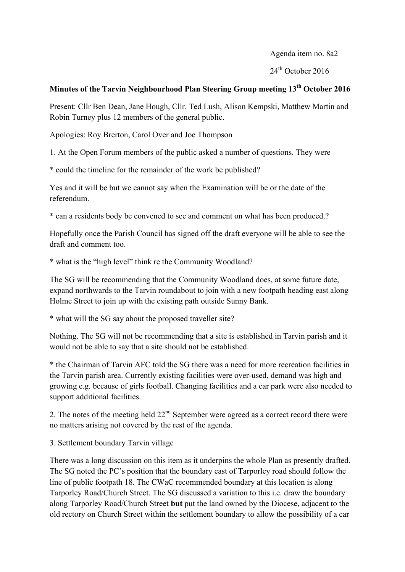Agenda item no. 8a2

 $24<sup>th</sup>$  October 2016

## **Minutes of the Tarvin Neighbourhood Plan Steering Group meeting 13th October 2016**

Present: Cllr Ben Dean, Jane Hough, Cllr. Ted Lush, Alison Kempski, Matthew Martin and Robin Turney plus 12 members of the general public.

Apologies: Roy Brerton, Carol Over and Joe Thompson

1. At the Open Forum members of the public asked a number of questions. They were

\* could the timeline for the remainder of the work be published?

Yes and it will be but we cannot say when the Examination will be or the date of the referendum.

\* can a residents body be convened to see and comment on what has been produced.?

Hopefully once the Parish Council has signed off the draft everyone will be able to see the draft and comment too.

\* what is the "high level" think re the Community Woodland?

The SG will be recommending that the Community Woodland does, at some future date, expand northwards to the Tarvin roundabout to join with a new footpath heading east along Holme Street to join up with the existing path outside Sunny Bank.

\* what will the SG say about the proposed traveller site?

Nothing. The SG will not be recommending that a site is established in Tarvin parish and it would not be able to say that a site should not be established.

\* the Chairman of Tarvin AFC told the SG there was a need for more recreation facilities in the Tarvin parish area. Currently existing facilities were over-used, demand was high and growing e.g. because of girls football. Changing facilities and a car park were also needed to support additional facilities.

2. The notes of the meeting held  $22<sup>nd</sup>$  September were agreed as a correct record there were no matters arising not covered by the rest of the agenda.

3. Settlement boundary Tarvin village

There was a long discussion on this item as it underpins the whole Plan as presently drafted. The SG noted the PC's position that the boundary east of Tarporley road should follow the line of public footpath 18. The CWaC recommended boundary at this location is along Tarporley Road/Church Street. The SG discussed a variation to this i.e. draw the boundary along Tarporley Road/Church Street **but** put the land owned by the Diocese, adjacent to the old rectory on Church Street within the settlement boundary to allow the possibility of a car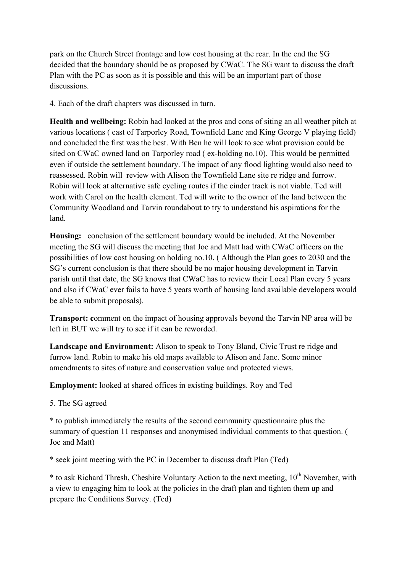park on the Church Street frontage and low cost housing at the rear. In the end the SG decided that the boundary should be as proposed by CWaC. The SG want to discuss the draft Plan with the PC as soon as it is possible and this will be an important part of those discussions.

4. Each of the draft chapters was discussed in turn.

**Health and wellbeing:** Robin had looked at the pros and cons of siting an all weather pitch at various locations ( east of Tarporley Road, Townfield Lane and King George V playing field) and concluded the first was the best. With Ben he will look to see what provision could be sited on CWaC owned land on Tarporley road ( ex-holding no.10). This would be permitted even if outside the settlement boundary. The impact of any flood lighting would also need to reassessed. Robin will review with Alison the Townfield Lane site re ridge and furrow. Robin will look at alternative safe cycling routes if the cinder track is not viable. Ted will work with Carol on the health element. Ted will write to the owner of the land between the Community Woodland and Tarvin roundabout to try to understand his aspirations for the land.

**Housing:** conclusion of the settlement boundary would be included. At the November meeting the SG will discuss the meeting that Joe and Matt had with CWaC officers on the possibilities of low cost housing on holding no.10. ( Although the Plan goes to 2030 and the SG's current conclusion is that there should be no major housing development in Tarvin parish until that date, the SG knows that CWaC has to review their Local Plan every 5 years and also if CWaC ever fails to have 5 years worth of housing land available developers would be able to submit proposals).

**Transport:** comment on the impact of housing approvals beyond the Tarvin NP area will be left in BUT we will try to see if it can be reworded.

**Landscape and Environment:** Alison to speak to Tony Bland, Civic Trust re ridge and furrow land. Robin to make his old maps available to Alison and Jane. Some minor amendments to sites of nature and conservation value and protected views.

**Employment:** looked at shared offices in existing buildings. Roy and Ted

5. The SG agreed

\* to publish immediately the results of the second community questionnaire plus the summary of question 11 responses and anonymised individual comments to that question. ( Joe and Matt)

\* seek joint meeting with the PC in December to discuss draft Plan (Ted)

 $*$  to ask Richard Thresh, Cheshire Voluntary Action to the next meeting,  $10<sup>th</sup>$  November, with a view to engaging him to look at the policies in the draft plan and tighten them up and prepare the Conditions Survey. (Ted)